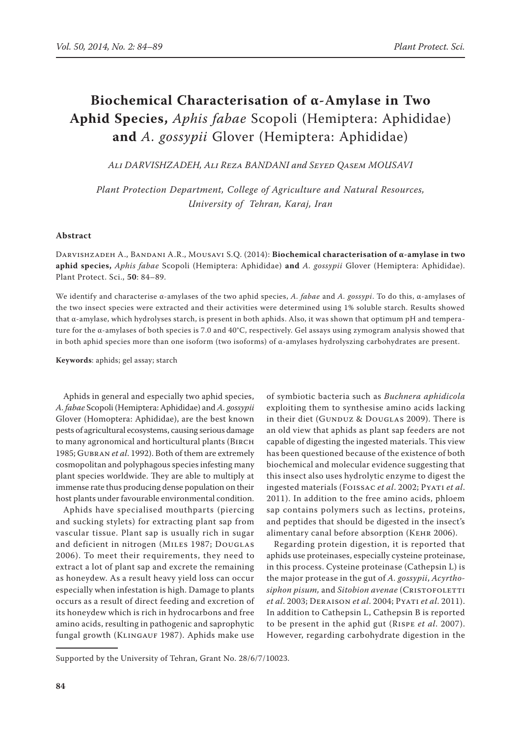# **Biochemical Characterisation of α-Amylase in Two Aphid Species,** *Aphis fabae* Scopoli (Hemiptera: Aphididae) **and** *A. gossypii* Glover (Hemiptera: Aphididae)

*Ali Darvishzadeh, Ali Reza Bandani and Seyed Qasem Mousavi*

*Plant Protection Department, College of Agriculture and Natural Resources, University of Tehran, Karaj, Iran*

### **Abstract**

Darvishzadeh A., Bandani A.R., Mousavi S.Q. (2014): **Biochemical characterisation of α-amylase in two aphid species,** *Aphis fabae* Scopoli (Hemiptera: Aphididae) **and** *A. gossypii* Glover (Hemiptera: Aphididae). Plant Protect. Sci., **50**: 84–89.

We identify and characterise α-amylases of the two aphid species, *A. fabae* and *A. gossypi*. To do this, α-amylases of the two insect species were extracted and their activities were determined using 1% soluble starch. Results showed that α-amylase, which hydrolyses starch, is present in both aphids. Also, it was shown that optimum pH and temperature for the α-amylases of both species is 7.0 and 40°C, respectively. Gel assays using zymogram analysis showed that in both aphid species more than one isoform (two isoforms) of α-amylases hydrolyszing carbohydrates are present.

**Keywords**: aphids; gel assay; starch

Aphids in general and especially two aphid species, *A. fabae* Scopoli (Hemiptera: Aphididae) and *A. gossypii* Glover (Homoptera: Aphididae), are the best known pests of agricultural ecosystems, causing serious damage to many agronomical and horticultural plants (Birch 1985; Gubran *et al*. 1992). Both of them are extremely cosmopolitan and polyphagous species infesting many plant species worldwide. They are able to multiply at immense rate thus producing dense population on their host plants under favourable environmental condition.

Aphids have specialised mouthparts (piercing and sucking stylets) for extracting plant sap from vascular tissue. Plant sap is usually rich in sugar and deficient in nitrogen (Miles 1987; Douglas 2006). To meet their requirements, they need to extract a lot of plant sap and excrete the remaining as honeydew. As a result heavy yield loss can occur especially when infestation is high. Damage to plants occurs as a result of direct feeding and excretion of its honeydew which is rich in hydrocarbons and free amino acids, resulting in pathogenic and saprophytic fungal growth (KLINGAUF 1987). Aphids make use

of symbiotic bacteria such as *Buchnera aphidicola* exploiting them to synthesise amino acids lacking in their diet (GUNDUZ & DOUGLAS 2009). There is an old view that aphids as plant sap feeders are not capable of digesting the ingested materials. This view has been questioned because of the existence of both biochemical and molecular evidence suggesting that this insect also uses hydrolytic enzyme to digest the ingested materials (Foissac *et al*. 2002; Pyati *et al*. 2011). In addition to the free amino acids, phloem sap contains polymers such as lectins, proteins, and peptides that should be digested in the insect's alimentary canal before absorption (Kehr 2006).

Regarding protein digestion, it is reported that aphids use proteinases, especially cysteine proteinase, in this process. Cysteine proteinase (Cathepsin L) is the major protease in the gut of *A. gossypii*, *Acyrtho* $siphon$  pisum, and *Sitobion avenae* (CRISTOFOLETTI *et al*. 2003; Deraison *et al*. 2004; Pyati *et al*. 2011). In addition to Cathepsin L, Cathepsin B is reported to be present in the aphid gut (Rispe *et al*. 2007). However, regarding carbohydrate digestion in the

Supported by the University of Tehran, Grant No. 28/6/7/10023.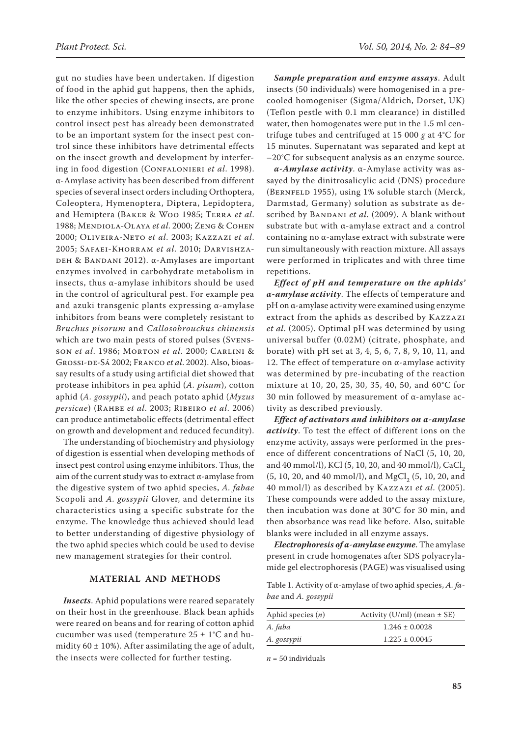gut no studies have been undertaken. If digestion of food in the aphid gut happens, then the aphids, like the other species of chewing insects, are prone to enzyme inhibitors. Using enzyme inhibitors to control insect pest has already been demonstrated to be an important system for the insect pest control since these inhibitors have detrimental effects on the insect growth and development by interfering in food digestion (Confalonieri *et al*. 1998). α-Amylase activity has been described from different species of several insect orders including Orthoptera, Coleoptera, Hymenoptera, Diptera, Lepidoptera, and Hemiptera (Baker & Woo 1985; Terra *et al*. 1988; Mendiola-Olaya *et al*. 2000; Zeng & Cohen 2000; Oliveira-Neto *et al*. 2003; Kazzazi *et al*. 2005; Safaei-Khorram *et al*. 2010; Darvishza-DEH & BANDANI 2012). α-Amylases are important enzymes involved in carbohydrate metabolism in insects, thus α-amylase inhibitors should be used in the control of agricultural pest. For example pea and azuki transgenic plants expressing α-amylase inhibitors from beans were completely resistant to *Bruchus pisorum* and *Callosobrouchus chinensis* which are two main pests of stored pulses (Svensson *et al*. 1986; Morton *et al*. 2000; Carlini & Grossi-de-Sá 2002; Franco *et al*. 2002). Also, bioassay results of a study using artificial diet showed that protease inhibitors in pea aphid (*A. pisum*), cotton aphid (*A. gossypii*), and peach potato aphid (*Myzus persicae*) (Rahbe *et al*. 2003; Ribeiro *et al*. 2006) can produce antimetabolic effects (detrimental effect on growth and development and reduced fecundity).

The understanding of biochemistry and physiology of digestion is essential when developing methods of insect pest control using enzyme inhibitors. Thus, the aim of the current study was to extract α-amylase from the digestive system of two aphid species, *A. fabae* Scopoli and *A. gossypii* Glover, and determine its characteristics using a specific substrate for the enzyme. The knowledge thus achieved should lead to better understanding of digestive physiology of the two aphid species which could be used to devise new management strategies for their control.

## **Material and Methods**

*Insects*. Aphid populations were reared separately on their host in the greenhouse. Black bean aphids were reared on beans and for rearing of cotton aphid cucumber was used (temperature 25 ± 1°C and humidity  $60 \pm 10\%$ ). After assimilating the age of adult, the insects were collected for further testing.

*Sample preparation and enzyme assays*. Adult insects (50 individuals) were homogenised in a precooled homogeniser (Sigma/Aldrich, Dorset, UK) (Teflon pestle with 0.1 mm clearance) in distilled water, then homogenates were put in the 1.5 ml centrifuge tubes and centrifuged at 15 000 *g* at 4°C for 15 minutes. Supernatant was separated and kept at –20°C for subsequent analysis as an enzyme source.

*α-Amylase activity*. α-Amylase activity was assayed by the dinitrosalicylic acid (DNS) procedure (BERNFELD 1955), using 1% soluble starch (Merck, Darmstad, Germany) solution as substrate as described by BANDANI et al. (2009). A blank without substrate but with α-amylase extract and a control containing no α-amylase extract with substrate were run simultaneously with reaction mixture. All assays were performed in triplicates and with three time repetitions.

*Effect of pH and temperature on the aphids' α-amylase activity*. The effects of temperature and pH on α-amylase activity were examined using enzyme extract from the aphids as described by Kazzazi *et al*. (2005). Optimal pH was determined by using universal buffer (0.02M) (citrate, phosphate, and borate) with pH set at 3, 4, 5, 6, 7, 8, 9, 10, 11, and 12. The effect of temperature on  $\alpha$ -amylase activity was determined by pre-incubating of the reaction mixture at 10, 20, 25, 30, 35, 40, 50, and 60°C for 30 min followed by measurement of α-amylase activity as described previously.

*Effect of activators and inhibitors on α-amylase activity*. To test the effect of different ions on the enzyme activity, assays were performed in the presence of different concentrations of NaCl (5, 10, 20, and 40 mmol/l), KCl (5, 10, 20, and 40 mmol/l), CaCl<sub>2</sub>  $(5, 10, 20,$  and 40 mmol/l), and MgCl<sub>2</sub>  $(5, 10, 20,$  and 40 mmol/l) as described by Kazzazi *et al*. (2005). These compounds were added to the assay mixture, then incubation was done at 30°C for 30 min, and then absorbance was read like before. Also, suitable blanks were included in all enzyme assays.

*Electrophoresis of α-amylase enzyme*. The amylase present in crude homogenates after SDS polyacrylamide gel electrophoresis (PAGE) was visualised using

Table 1. Activity of α-amylase of two aphid species, *A. fabae* and *A. gossypii*

| Aphid species $(n)$ | Activity (U/ml) (mean $\pm$ SE) |
|---------------------|---------------------------------|
| A. faba             | $1.246 \pm 0.0028$              |
| A. gossypii         | $1.225 \pm 0.0045$              |

 $n = 50$  individuals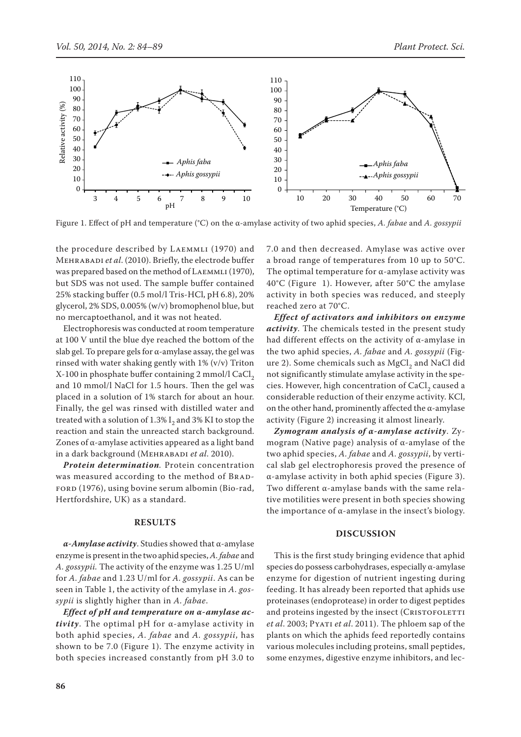

Figure 1. Effect of pH and temperature (°C) on the α-amylase activity of two aphid species, *A. fabae* and *A. gossypii*

the procedure described by LAEMMLI (1970) and Mehrabadi *et al*. (2010). Briefly, the electrode buffer was prepared based on the method of LAEMMLI (1970), but SDS was not used. The sample buffer contained 25% stacking buffer (0.5 mol/l Tris-HCl, pH 6.8), 20% glycerol, 2% SDS, 0.005% (w/v) bromophenol blue, but no mercaptoethanol, and it was not heated.

Electrophoresis was conducted at room temperature at 100 V until the blue dye reached the bottom of the slab gel. To prepare gels for  $\alpha$ -amylase assay, the gel was rinsed with water shaking gently with 1% (v/v) Triton  $X-100$  in phosphate buffer containing 2 mmol/l CaCl<sub>2</sub> and 10 mmol/l NaCl for 1.5 hours. Then the gel was placed in a solution of 1% starch for about an hour. Finally, the gel was rinsed with distilled water and treated with a solution of  $1.3\%$  I<sub>2</sub> and  $3\%$  KI to stop the reaction and stain the unreacted starch background. Zones of α-amylase activities appeared as a light band in a dark background (Mehrabadi *et al*. 2010).

*Protein determination.* Protein concentration was measured according to the method of BRAD-FORD (1976), using bovine serum albomin (Bio-rad, Hertfordshire, UK) as a standard.

### **Results**

*α-Amylase activity*. Studies showed that α-amylase enzyme is present in the two aphid species, *A. fabae* and *A. gossypii.* The activity of the enzyme was 1.25 U/ml for *A. fabae* and 1.23 U/ml for *A. gossypii*. As can be seen in Table 1, the activity of the amylase in *A. gossypii* is slightly higher than in *A. fabae*.

*Effect of pH and temperature on α-amylase activity*. The optimal pH for α-amylase activity in both aphid species, *A. fabae* and *A. gossypii*, has shown to be 7.0 (Figure 1). The enzyme activity in both species increased constantly from pH 3.0 to 7.0 and then decreased. Amylase was active over a broad range of temperatures from 10 up to 50°C. The optimal temperature for  $\alpha$ -amylase activity was 40°C (Figure 1). However, after 50°C the amylase activity in both species was reduced, and steeply reached zero at 70°C.

*Effect of activators and inhibitors on enzyme activity*. The chemicals tested in the present study had different effects on the activity of α-amylase in the two aphid species, *A. fabae* and *A. gossypii* (Figure 2). Some chemicals such as  $MgCl<sub>2</sub>$  and NaCl did not significantly stimulate amylase activity in the species. However, high concentration of CaCl<sub>2</sub> caused a considerable reduction of their enzyme activity. KCl, on the other hand, prominently affected the  $\alpha$ -amylase activity (Figure 2) increasing it almost linearly.

*Zymogram analysis of α-amylase activity*. Zymogram (Native page) analysis of α-amylase of the two aphid species, *A. fabae* and *A. gossypii*, by vertical slab gel electrophoresis proved the presence of α-amylase activity in both aphid species (Figure 3). Two different α-amylase bands with the same relative motilities were present in both species showing the importance of α-amylase in the insect's biology.

## **Discussion**

This is the first study bringing evidence that aphid species do possess carbohydrases, especially α-amylase enzyme for digestion of nutrient ingesting during feeding. It has already been reported that aphids use proteinases (endoprotease) in order to digest peptides and proteins ingested by the insect (CRISTOFOLETTI *et al*. 2003; Pyati *et al*. 2011). The phloem sap of the plants on which the aphids feed reportedly contains various molecules including proteins, small peptides, some enzymes, digestive enzyme inhibitors, and lec-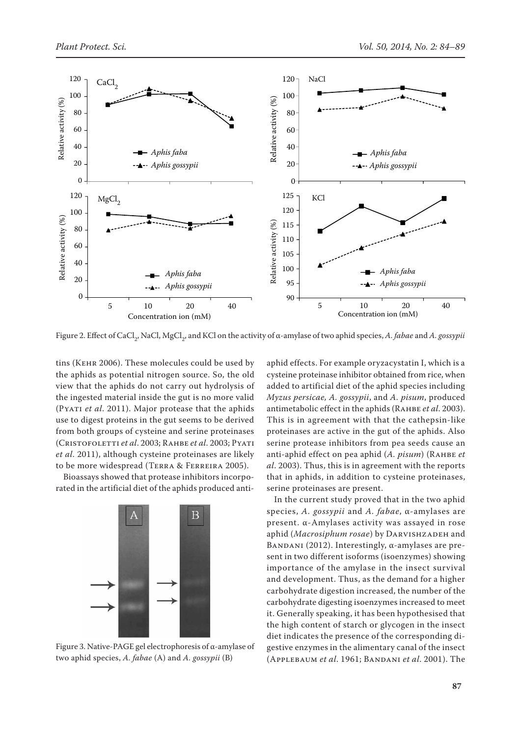

Figure 2. Effect of CaCl<sub>2</sub>, NaCl, MgCl<sub>2</sub>, and KCl on the activity of α-amylase of two aphid species, *A. fabae* and *A. gossypii* 

tins (Kehr 2006). These molecules could be used by the aphids as potential nitrogen source. So, the old view that the aphids do not carry out hydrolysis of the ingested material inside the gut is no more valid (PYATI *et al.* 2011). Major protease that the aphids use to digest proteins in the gut seems to be derived from both groups of cysteine and serine proteinases (Cristofoletti *et al*. 2003; Rahbe *et al*. 2003; Pyati *et al*. 2011), although cysteine proteinases are likely to be more widespread (Terra & Ferreira 2005).

Bioassays showed that protease inhibitors incorporated in the artificial diet of the aphids produced anti-



Figure 3. Native-PAGE gel electrophoresis of α-amylase of two aphid species, *A. fabae* (A) and *A. gossypii* (B)

aphid effects. For example oryzacystatin I, which is a cysteine proteinase inhibitor obtained from rice, when added to artificial diet of the aphid species including *Myzus persicae, A. gossypii*, and *A. pisum*, produced antimetabolic effect in the aphids (RAHBE *et al.* 2003). This is in agreement with that the cathepsin-like proteinases are active in the gut of the aphids. Also serine protease inhibitors from pea seeds cause an anti-aphid effect on pea aphid (*A. pisum*) (Rahbe *et al*. 2003). Thus, this is in agreement with the reports that in aphids, in addition to cysteine proteinases, serine proteinases are present.

In the current study proved that in the two aphid species, *A. gossypii* and *A. fabae*, α-amylases are present. α-Amylases activity was assayed in rose aphid (Macrosiphum rosae) by DARVISHZADEH and BANDANI (2012). Interestingly,  $\alpha$ -amylases are present in two different isoforms (isoenzymes) showing importance of the amylase in the insect survival and development. Thus, as the demand for a higher carbohydrate digestion increased, the number of the carbohydrate digesting isoenzymes increased to meet it. Generally speaking, it has been hypothesised that the high content of starch or glycogen in the insect diet indicates the presence of the corresponding digestive enzymes in the alimentary canal of the insect (Applebaum *et al*. 1961; Bandani *et al*. 2001). The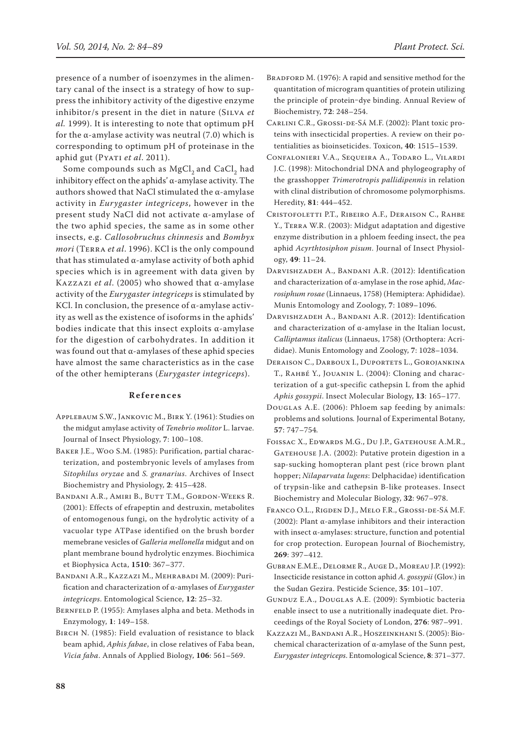presence of a number of isoenzymes in the alimentary canal of the insect is a strategy of how to suppress the inhibitory activity of the digestive enzyme inhibitor/s present in the diet in nature (Silva *et al.* 1999). It is interesting to note that optimum pH for the  $\alpha$ -amylase activity was neutral (7.0) which is corresponding to optimum pH of proteinase in the aphid gut (PYATI et al. 2011).

Some compounds such as MgCl<sub>2</sub> and CaCl<sub>2</sub> had inhibitory effect on the aphids' α-amylase activity. The authors showed that NaCl stimulated the α-amylase activity in *Eurygaster integriceps*, however in the present study NaCl did not activate α-amylase of the two aphid species, the same as in some other insects, e.g. *Callosobruchus chinnesis* and *Bombyx mori* (Terra *et al*. 1996). KCl is the only compound that has stimulated α-amylase activity of both aphid species which is in agreement with data given by Kazzazi *et al*. (2005) who showed that α-amylase activity of the *Eurygaster integriceps* is stimulated by KCl. In conclusion, the presence of  $\alpha$ -amylase activity as well as the existence of isoforms in the aphids' bodies indicate that this insect exploits  $\alpha$ -amylase for the digestion of carbohydrates. In addition it was found out that α-amylases of these aphid species have almost the same characteristics as in the case of the other hemipterans (*Eurygaster integriceps*).

#### **References**

- Applebaum S.W., Jankovic M., Birk Y. (1961): Studies on the midgut amylase activity of *Tenebrio molitor* L. larvae. Journal of Insect Physiology, **7**: 100–108.
- Baker J.E., Woo S.M. (1985): Purification, partial characterization, and postembryonic levels of amylases from *Sitophilus oryzae* and *S. granarius*. Archives of Insect Biochemistry and Physiology, **2**: 415–428.
- Bandani A.R., Amiri B., Butt T.M., Gordon-Weeks R. (2001): Effects of efrapeptin and destruxin, metabolites of entomogenous fungi, on the hydrolytic activity of a vacuolar type ATPase identified on the brush border memebrane vesicles of *Galleria mellonella* midgut and on plant membrane bound hydrolytic enzymes. Biochimica et Biophysica Acta, **1510**: 367–377.
- Bandani A.R., Kazzazi M., Mehrabadi M. (2009): Purification and characterization of α-amylases of *Eurygaster integriceps*. Entomological Science, **12**: 25–32.
- BERNFELD P. (1955): Amylases alpha and beta. Methods in Enzymology, **1**: 149–158.
- BIRCH N. (1985): Field evaluation of resistance to black beam aphid, *Aphis fabae*, in close relatives of Faba bean, *Vicia faba*. Annals of Applied Biology, **106**: 561–569.
- BRADFORD M. (1976): A rapid and sensitive method for the quantitation of microgram quantities of protein utilizing the principle of protein-dye binding. Annual Review of Biochemistry, **72**: 248–254.
- Carlini C.R., Grossi-de-Sá M.F. (2002): Plant toxic proteins with insecticidal properties. A review on their potentialities as bioinseticides. Toxicon, **40**: 1515–1539.
- Confalonieri V.A., Sequeira A., Todaro L., Vilardi J.C. (1998): Mitochondrial DNA and phylogeography of the grasshopper *Trimerotropis pallidipennis* in relation with clinal distribution of chromosome polymorphisms. Heredity, **81**: 444–452.
- Cristofoletti P.T., Ribeiro A.F., Deraison C., Rahbe Y., Terra W.R. (2003): Midgut adaptation and digestive enzyme distribution in a phloem feeding insect, the pea aphid *Acyrthtosiphon pisum*. Journal of Insect Physiology, **49**: 11–24.
- Darvishzadeh A., Bandani A.R. (2012): Identification and characterization of α-amylase in the rose aphid, *Macrosiphum rosae* (Linnaeus, 1758) (Hemiptera: Aphididae). Munis Entomology and Zoology, **7**: 1089–1096.
- Darvishzadeh A., Bandani A.R. (2012): Identification and characterization of α-amylase in the Italian locust, *Calliptamus italicus* (Linnaeus, 1758) (Orthoptera: Acrididae). Munis Entomology and Zoology, **7**: 1028–1034.
- DERAISON C., DARBOUX I., DUPORTETS L., GOROJANKINA T., Rahbé Y., Jouanin L. (2004): Cloning and characterization of a gut-specific cathepsin L from the aphid *Aphis gossypii*. Insect Molecular Biology, **13**: 165–177.
- Douglas A.E. (2006): Phloem sap feeding by animals: problems and solutions*.* Journal of Experimental Botany, **57**: 747–754*.*
- Foissac X., Edwards M.G., Du J.P., Gatehouse A.M.R., GATEHOUSE J.A. (2002): Putative protein digestion in a sap-sucking homopteran plant pest (rice brown plant hopper; *Nilaparvata lugens*: Delphacidae) identification of trypsin-like and cathepsin B-like proteases. Insect Biochemistry and Molecular Biology, **32**: 967–978.
- Franco O.L., Rigden D.J., Melo F.R., Grossi-de-Sá M.F. (2002): Plant α-amylase inhibitors and their interaction with insect α-amylases: structure, function and potential for crop protection. European Journal of Biochemistry, **269**: 397–412.
- Gubran E.M.E., Delorme R., Auge D., Moreau J.P. (1992): Insecticide resistance in cotton aphid *A. gossypii* (Glov.) in the Sudan Gezira. Pesticide Science, **35**: 101–107.
- Gunduz E.A., Douglas A.E. (2009): Symbiotic bacteria enable insect to use a nutritionally inadequate diet. Proceedings of the Royal Society of London, **276**: 987–991.
- Kazzazi M., Bandani A.R., Hoszeinkhani S. (2005): Biochemical characterization of α-amylase of the Sunn pest, *Eurygaster integriceps*. Entomological Science, **8**: 371–377.